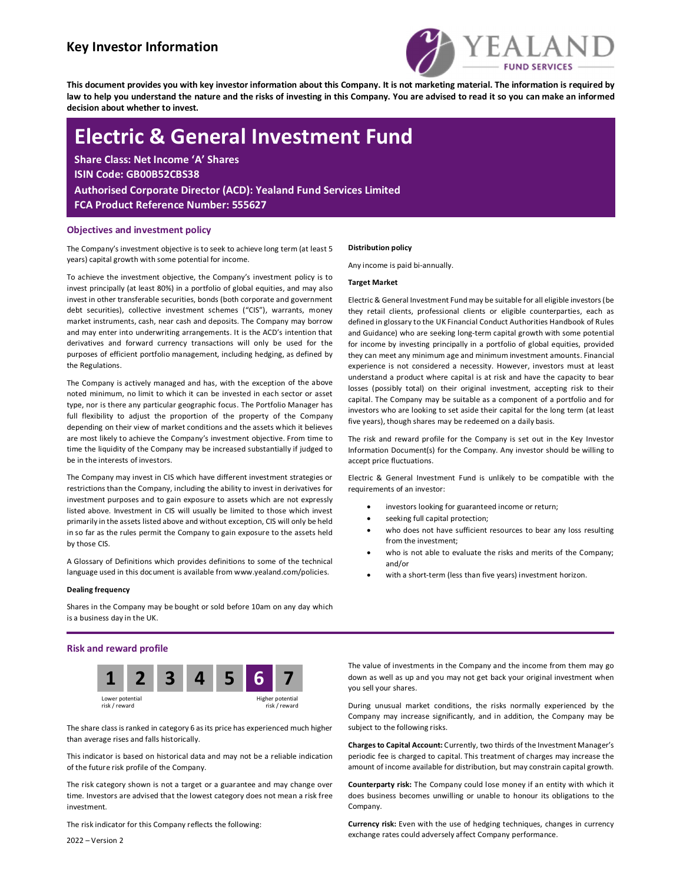## Key Investor Information



This document provides you with key investor information about this Company. It is not marketing material. The information is required by law to help you understand the nature and the risks of investing in this Company. You are advised to read it so you can make an informed decision about whether to invest.

# Electric & General Investment Fund

Share Class: Net Income 'A' Shares ISIN Code: GB00B52CBS38 Authorised Corporate Director (ACD): Yealand Fund Services Limited FCA Product Reference Number: 555627

#### Objectives and investment policy

The Company's investment objective is to seek to achieve long term (at least 5 years) capital growth with some potential for income.

To achieve the investment objective, the Company's investment policy is to invest principally (at least 80%) in a portfolio of global equities, and may also invest in other transferable securities, bonds (both corporate and government debt securities), collective investment schemes ("CIS"), warrants, money market instruments, cash, near cash and deposits. The Company may borrow and may enter into underwriting arrangements. It is the ACD's intention that derivatives and forward currency transactions will only be used for the purposes of efficient portfolio management, including hedging, as defined by the Regulations.

The Company is actively managed and has, with the exception of the above noted minimum, no limit to which it can be invested in each sector or asset type, nor is there any particular geographic focus. The Portfolio Manager has full flexibility to adjust the proportion of the property of the Company depending on their view of market conditions and the assets which it believes are most likely to achieve the Company's investment objective. From time to time the liquidity of the Company may be increased substantially if judged to be in the interests of investors.

The Company may invest in CIS which have different investment strategies or restrictions than the Company, including the ability to invest in derivatives for investment purposes and to gain exposure to assets which are not expressly listed above. Investment in CIS will usually be limited to those which invest primarily in the assets listed above and without exception, CIS will only be held in so far as the rules permit the Company to gain exposure to the assets held by those CIS.

A Glossary of Definitions which provides definitions to some of the technical language used in this document is available from www.yealand.com/policies.

#### Dealing frequency

Shares in the Company may be bought or sold before 10am on any day which is a business day in the UK.

#### Risk and reward profile



The share class is ranked in category 6 as its price has experienced much higher than average rises and falls historically.

This indicator is based on historical data and may not be a reliable indication of the future risk profile of the Company.

The risk category shown is not a target or a guarantee and may change over time. Investors are advised that the lowest category does not mean a risk free investment.

The risk indicator for this Company reflects the following:

2022 – Version 2

#### Distribution policy

Any income is paid bi-annually.

#### Target Market

Electric & General Investment Fund may be suitable for all eligible investors (be they retail clients, professional clients or eligible counterparties, each as defined in glossary to the UK Financial Conduct Authorities Handbook of Rules and Guidance) who are seeking long-term capital growth with some potential for income by investing principally in a portfolio of global equities, provided they can meet any minimum age and minimum investment amounts. Financial experience is not considered a necessity. However, investors must at least understand a product where capital is at risk and have the capacity to bear losses (possibly total) on their original investment, accepting risk to their capital. The Company may be suitable as a component of a portfolio and for investors who are looking to set aside their capital for the long term (at least five years), though shares may be redeemed on a daily basis.

The risk and reward profile for the Company is set out in the Key Investor Information Document(s) for the Company. Any investor should be willing to accept price fluctuations.

Electric & General Investment Fund is unlikely to be compatible with the requirements of an investor:

- investors looking for guaranteed income or return;
- seeking full capital protection;
- who does not have sufficient resources to bear any loss resulting from the investment;
- who is not able to evaluate the risks and merits of the Company; and/or
- with a short-term (less than five years) investment horizon.

The value of investments in the Company and the income from them may go down as well as up and you may not get back your original investment when you sell your shares.

During unusual market conditions, the risks normally experienced by the Company may increase significantly, and in addition, the Company may be subject to the following risks.

Charges to Capital Account: Currently, two thirds of the Investment Manager's periodic fee is charged to capital. This treatment of charges may increase the amount of income available for distribution, but may constrain capital growth.

Counterparty risk: The Company could lose money if an entity with which it does business becomes unwilling or unable to honour its obligations to the Company.

Currency risk: Even with the use of hedging techniques, changes in currency exchange rates could adversely affect Company performance.